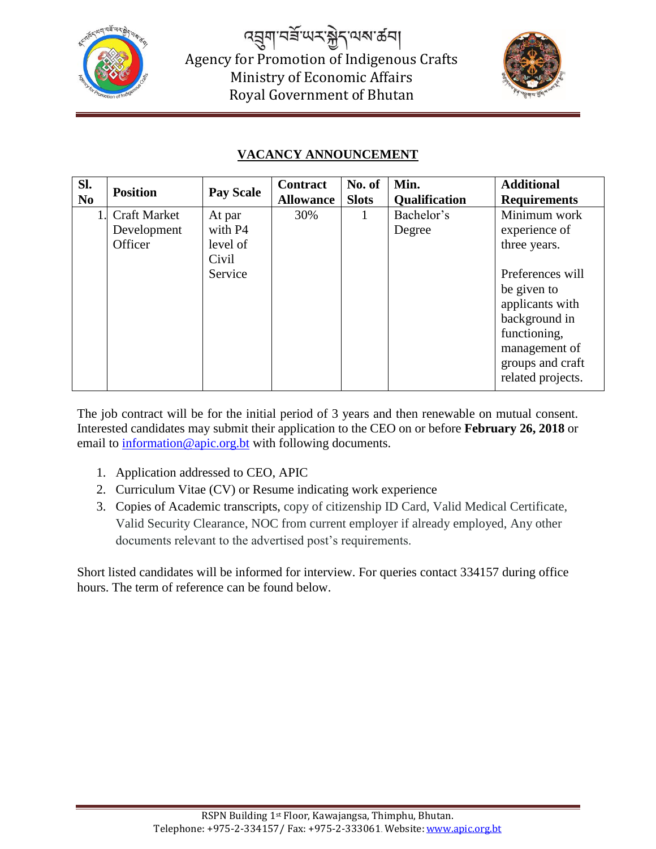

*෬*ヺ゚ゕ゚ヹ゠ヸ Agency for Promotion of Indigenous Crafts Ministry of Economic Affairs Royal Government of Bhutan



## $\mathbf{F}$ **VACANCY ANNOUNCEMENT**

| SI.<br>N <sub>0</sub> | <b>Position</b>                               | <b>Pay Scale</b>                                  | <b>Contract</b><br><b>Allowance</b> | No. of<br><b>Slots</b> | Min.<br><b>Qualification</b> | <b>Additional</b><br><b>Requirements</b>                                                                                                                                                       |
|-----------------------|-----------------------------------------------|---------------------------------------------------|-------------------------------------|------------------------|------------------------------|------------------------------------------------------------------------------------------------------------------------------------------------------------------------------------------------|
|                       | <b>Craft Market</b><br>Development<br>Officer | At par<br>with P4<br>level of<br>Civil<br>Service | 30%                                 |                        | Bachelor's<br>Degree         | Minimum work<br>experience of<br>three years.<br>Preferences will<br>be given to<br>applicants with<br>background in<br>functioning,<br>management of<br>groups and craft<br>related projects. |

The job contract will be for the initial period of 3 years and then renewable on mutual consent. Interested candidates may submit their application to the CEO on or before **February 26, 2018** or email to [information@apic.org.bt](mailto:information@apic.org.bt) with following documents.

- 1. Application addressed to CEO, APIC
- 2. Curriculum Vitae (CV) or Resume indicating work experience
- 3. Copies of Academic transcripts, copy of citizenship ID Card, Valid Medical Certificate, Valid Security Clearance, NOC from current employer if already employed, Any other documents relevant to the advertised post's requirements.

Short listed candidates will be informed for interview. For queries contact 334157 during office hours. The term of reference can be found below.